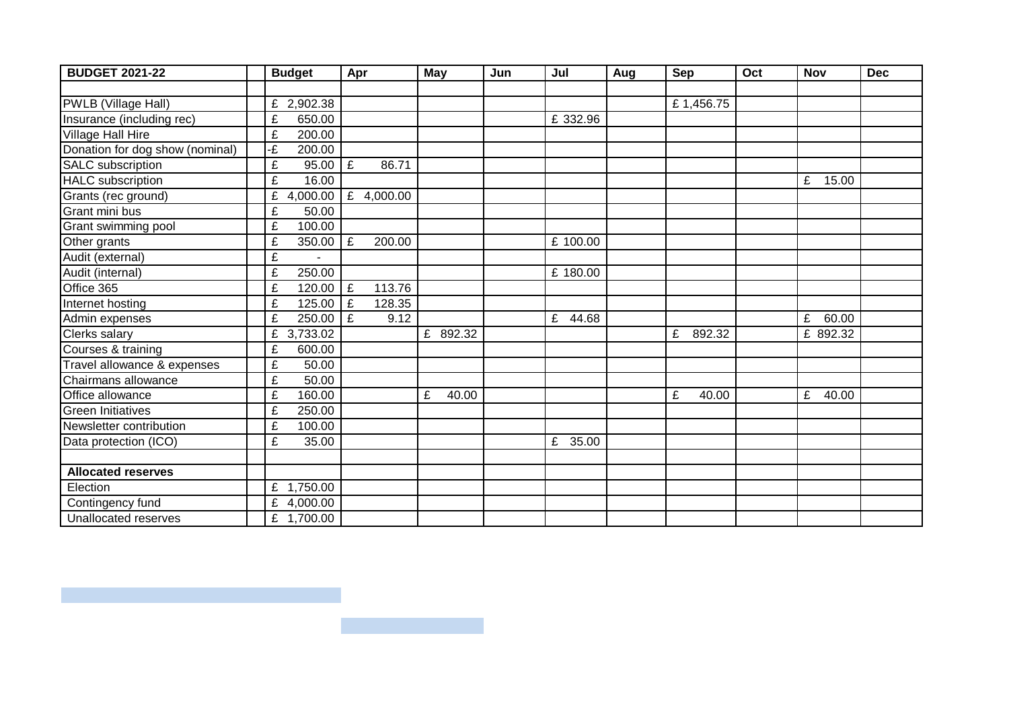| <b>BUDGET 2021-22</b>           | <b>Budget</b> |            | Apr |            | <b>May</b> |          | Jun | Jul |          | Aug | Sep |           | Oct | <b>Nov</b> | <b>Dec</b> |
|---------------------------------|---------------|------------|-----|------------|------------|----------|-----|-----|----------|-----|-----|-----------|-----|------------|------------|
|                                 |               |            |     |            |            |          |     |     |          |     |     |           |     |            |            |
| PWLB (Village Hall)             |               | £ 2,902.38 |     |            |            |          |     |     |          |     |     | £1,456.75 |     |            |            |
| Insurance (including rec)       | £             | 650.00     |     |            |            |          |     |     | £ 332.96 |     |     |           |     |            |            |
| Village Hall Hire               | £             | 200.00     |     |            |            |          |     |     |          |     |     |           |     |            |            |
| Donation for dog show (nominal) | -£            | 200.00     |     |            |            |          |     |     |          |     |     |           |     |            |            |
| <b>SALC</b> subscription        | £             | 95.00      | £   | 86.71      |            |          |     |     |          |     |     |           |     |            |            |
| <b>HALC</b> subscription        | £             | 16.00      |     |            |            |          |     |     |          |     |     |           |     | E<br>15.00 |            |
| Grants (rec ground)             | £             | 4,000.00   |     | £ 4,000.00 |            |          |     |     |          |     |     |           |     |            |            |
| Grant mini bus                  | £             | 50.00      |     |            |            |          |     |     |          |     |     |           |     |            |            |
| Grant swimming pool             | £             | 100.00     |     |            |            |          |     |     |          |     |     |           |     |            |            |
| Other grants                    | £             | 350.00     | £   | 200.00     |            |          |     |     | £ 100.00 |     |     |           |     |            |            |
| Audit (external)                | £             |            |     |            |            |          |     |     |          |     |     |           |     |            |            |
| Audit (internal)                | £             | 250.00     |     |            |            |          |     |     | £ 180.00 |     |     |           |     |            |            |
| Office 365                      | £             | 120.00     | £   | 113.76     |            |          |     |     |          |     |     |           |     |            |            |
| Internet hosting                | £             | 125.00     | £   | 128.35     |            |          |     |     |          |     |     |           |     |            |            |
| Admin expenses                  | £             | 250.00     | £   | 9.12       |            |          |     | £   | 44.68    |     |     |           |     | £ 60.00    |            |
| <b>Clerks salary</b>            | £             | 3,733.02   |     |            |            | £ 892.32 |     |     |          |     | £   | 892.32    |     | £ 892.32   |            |
| Courses & training              | £             | 600.00     |     |            |            |          |     |     |          |     |     |           |     |            |            |
| Travel allowance & expenses     | £             | 50.00      |     |            |            |          |     |     |          |     |     |           |     |            |            |
| Chairmans allowance             | £             | 50.00      |     |            |            |          |     |     |          |     |     |           |     |            |            |
| Office allowance                | £             | 160.00     |     |            | £          | 40.00    |     |     |          |     | £   | 40.00     |     | £<br>40.00 |            |
| <b>Green Initiatives</b>        | £             | 250.00     |     |            |            |          |     |     |          |     |     |           |     |            |            |
| Newsletter contribution         | £             | 100.00     |     |            |            |          |     |     |          |     |     |           |     |            |            |
| Data protection (ICO)           | £             | 35.00      |     |            |            |          |     |     | £ 35.00  |     |     |           |     |            |            |
|                                 |               |            |     |            |            |          |     |     |          |     |     |           |     |            |            |
| <b>Allocated reserves</b>       |               |            |     |            |            |          |     |     |          |     |     |           |     |            |            |
| Election                        |               | £ 1,750.00 |     |            |            |          |     |     |          |     |     |           |     |            |            |
| Contingency fund                |               | £ 4,000.00 |     |            |            |          |     |     |          |     |     |           |     |            |            |
| Unallocated reserves            |               | £ 1,700.00 |     |            |            |          |     |     |          |     |     |           |     |            |            |